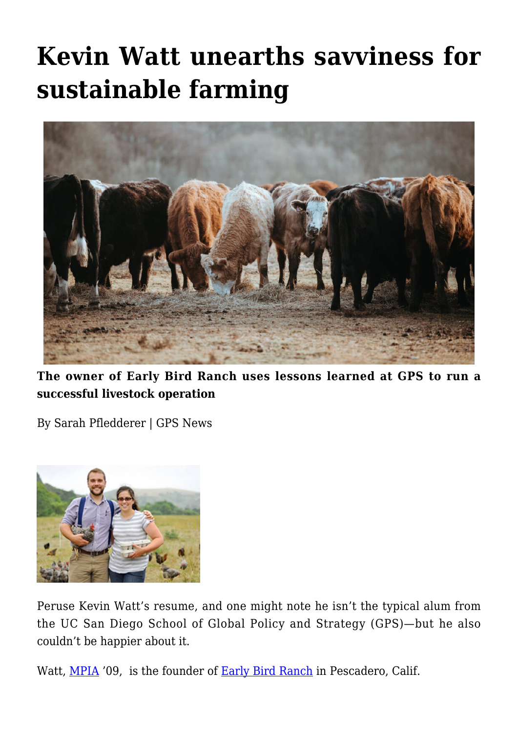## **[Kevin Watt unearths savviness for](https://gpsnews.ucsd.edu/kevin-watt-unearths-savviness-for-sustainable-farming/) [sustainable farming](https://gpsnews.ucsd.edu/kevin-watt-unearths-savviness-for-sustainable-farming/)**



**The owner of Early Bird Ranch uses lessons learned at GPS to run a successful livestock operation**

By Sarah Pfledderer | GPS News



Peruse Kevin Watt's resume, and one might note he isn't the typical alum from the UC San Diego School of Global Policy and Strategy (GPS)—but he also couldn't be happier about it.

Watt, [MPIA](https://gps.ucsd.edu/academics/mia.html) '09, is the founder of [Early Bird Ranch](http://earlybirdranch.com/) in Pescadero, Calif.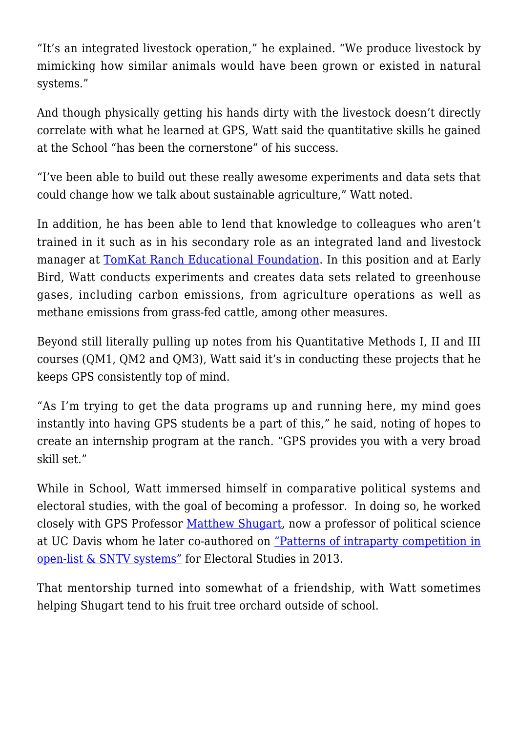"It's an integrated livestock operation," he explained. "We produce livestock by mimicking how similar animals would have been grown or existed in natural systems."

And though physically getting his hands dirty with the livestock doesn't directly correlate with what he learned at GPS, Watt said the quantitative skills he gained at the School "has been the cornerstone" of his success.

"I've been able to build out these really awesome experiments and data sets that could change how we talk about sustainable agriculture," Watt noted.

In addition, he has been able to lend that knowledge to colleagues who aren't trained in it such as in his secondary role as an integrated land and livestock manager at [TomKat Ranch Educational Foundation](http://www.tomkatranch.org/). In this position and at Early Bird, Watt conducts experiments and creates data sets related to greenhouse gases, including carbon emissions, from agriculture operations as well as methane emissions from grass-fed cattle, among other measures.

Beyond still literally pulling up notes from his Quantitative Methods I, II and III courses (QM1, QM2 and QM3), Watt said it's in conducting these projects that he keeps GPS consistently top of mind.

"As I'm trying to get the data programs up and running here, my mind goes instantly into having GPS students be a part of this," he said, noting of hopes to create an internship program at the ranch. "GPS provides you with a very broad skill set."

While in School, Watt immersed himself in comparative political systems and electoral studies, with the goal of becoming a professor. In doing so, he worked closely with GPS Professor [Matthew Shugart,](http://ps.ucdavis.edu/people/mshugart) now a professor of political science at UC Davis whom he later co-authored on ["Patterns of intraparty competition in](http://ac.els-cdn.com/S0261379413000061/1-s2.0-S0261379413000061-main.pdf?_tid=7d701506-8710-11e5-9d01-00000aab0f6b&acdnat=1447094239_3dc8ba2c4f73848ff3f5d33ebfdd509d) [open-list & SNTV systems"](http://ac.els-cdn.com/S0261379413000061/1-s2.0-S0261379413000061-main.pdf?_tid=7d701506-8710-11e5-9d01-00000aab0f6b&acdnat=1447094239_3dc8ba2c4f73848ff3f5d33ebfdd509d) for Electoral Studies in 2013.

That mentorship turned into somewhat of a friendship, with Watt sometimes helping Shugart tend to his fruit tree orchard outside of school.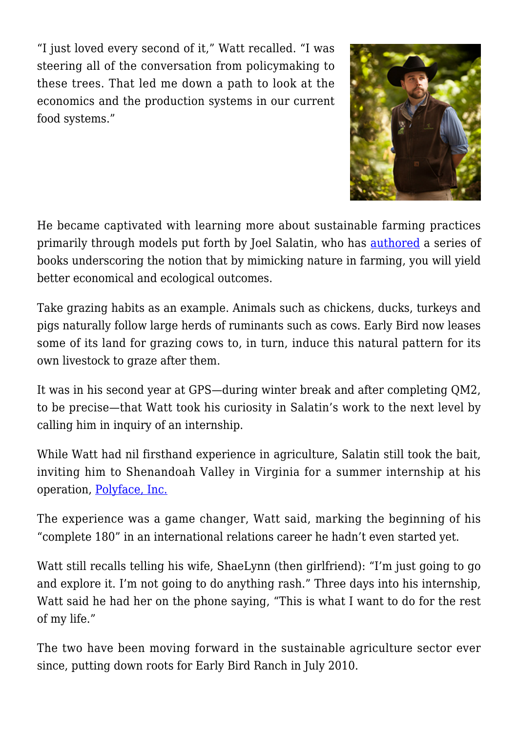"I just loved every second of it," Watt recalled. "I was steering all of the conversation from policymaking to these trees. That led me down a path to look at the economics and the production systems in our current food systems."



He became captivated with learning more about sustainable farming practices primarily through models put forth by Joel Salatin, who has [authored](http://www.amazon.com/Joel-Salatin/e/B000APFOT2/ref=dp_byline_cont_book_1) a series of books underscoring the notion that by mimicking nature in farming, you will yield better economical and ecological outcomes.

Take grazing habits as an example. Animals such as chickens, ducks, turkeys and pigs naturally follow large herds of ruminants such as cows. Early Bird now leases some of its land for grazing cows to, in turn, induce this natural pattern for its own livestock to graze after them.

It was in his second year at GPS—during winter break and after completing QM2, to be precise—that Watt took his curiosity in Salatin's work to the next level by calling him in inquiry of an internship.

While Watt had nil firsthand experience in agriculture, Salatin still took the bait, inviting him to Shenandoah Valley in Virginia for a summer internship at his operation, [Polyface, Inc.](http://www.polyfacefarms.com/)

The experience was a game changer, Watt said, marking the beginning of his "complete 180" in an international relations career he hadn't even started yet.

Watt still recalls telling his wife, ShaeLynn (then girlfriend): "I'm just going to go and explore it. I'm not going to do anything rash." Three days into his internship, Watt said he had her on the phone saying, "This is what I want to do for the rest of my life."

The two have been moving forward in the sustainable agriculture sector ever since, putting down roots for Early Bird Ranch in July 2010.